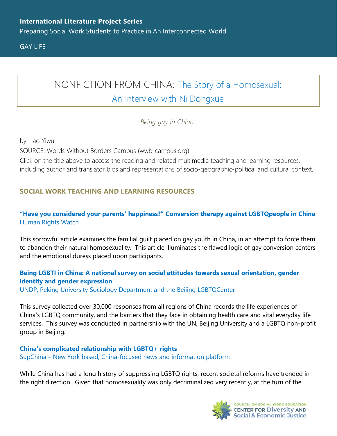Preparing Social Work Students to Practice in An Interconnected World

GAY LIFE

# NONFICTION FROM CHINA: [The Story of a Homosexual:](https://www.wwb-campus.org/literature/the-story-of-a-homosexual-an-interview-with-ni-dongxue)

## [An Interview with Ni Dongxue](https://www.wwb-campus.org/literature/the-story-of-a-homosexual-an-interview-with-ni-dongxue)

*Being gay in China.*

by Liao Yiwu

SOURCE: Words Without Borders Campus (wwb-campus.org)

Click on the title above to access the reading and related multimedia teaching and learning resources, including author and translator bios and representations of socio-geographic-political and cultural context.

### **SOCIAL WORK TEACHING AND LEARNING RESOURCES**

#### **["Have you considered your parents' happiness?" Conversion therapy against LGBTQpeople in China](https://www.hrw.org/report/2017/11/15/have-you-considered-your-parents-happiness/conversion-therapy-against-lgbt-people)** [Human Rights Watch](https://www.hrw.org/report/2017/11/15/have-you-considered-your-parents-happiness/conversion-therapy-against-lgbt-people)

This sorrowful article examines the familial guilt placed on gay youth in China, in an attempt to force them to abandon their natural homosexuality. This article illuminates the flawed logic of gay conversion centers and the emotional duress placed upon participants.

#### **Being LGBTI in China: A national [survey on social attitudes towards sexual orientation, gender](https://www.cn.undp.org/content/dam/china/img/demgov/Publication/UNDP-CH-PEG-Being%20LGBT%20in%20China_EN.pdf)  [identity and gender expression](https://www.cn.undp.org/content/dam/china/img/demgov/Publication/UNDP-CH-PEG-Being%20LGBT%20in%20China_EN.pdf)**

[UNDP, Peking University Sociology Department and the Beijing LGBTQCenter](https://www.cn.undp.org/content/dam/china/img/demgov/Publication/UNDP-CH-PEG-Being%20LGBT%20in%20China_EN.pdf)

This survey collected over 30,000 responses from all regions of China records the life experiences of China's LGBTQ community, and the barriers that they face in obtaining health care and vital everyday life services. This survey was conducted in partnership with the UN, Beijing University and a LGBTQ non-profit group in Beijing.

**[China's complicated relationship with LGBTQ+ rights](https://supchina.com/2021/07/22/chinas-complicated-relationship-with-lgbtq-rights/)** SupChina – [New York based, China-focused news and information platform](https://supchina.com/2021/07/22/chinas-complicated-relationship-with-lgbtq-rights/)

While China has had a long history of suppressing LGBTQ rights, recent societal reforms have trended in the right direction. Given that homosexuality was only decriminalized very recently, at the turn of the